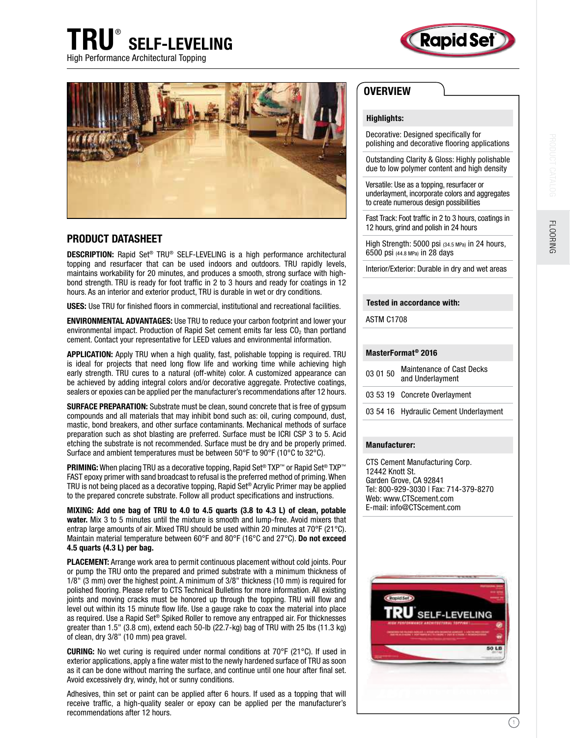





## PRODUCT DATASHEET

DESCRIPTION: Rapid Set® TRU® SELF-LEVELING is a high performance architectural topping and resurfacer that can be used indoors and outdoors. TRU rapidly levels, maintains workability for 20 minutes, and produces a smooth, strong surface with highbond strength. TRU is ready for foot trafic in 2 to 3 hours and ready for coatings in 12 hours. As an interior and exterior product, TRU is durable in wet or dry conditions.

**USES:** Use TRU for finished floors in commercial, institutional and recreational facilities.

ENVIRONMENTAL ADVANTAGES: Use TRU to reduce your carbon footprint and lower your environmental impact. Production of Rapid Set cement emits far less  $CO<sub>2</sub>$  than portland cement. Contact your representative for LEED values and environmental information.

APPLICATION: Apply TRU when a high quality, fast, polishable topping is required. TRU is ideal for projects that need long flow life and working time while achieving high early strength. TRU cures to a natural (off-white) color. A customized appearance can be achieved by adding integral colors and/or decorative aggregate. Protective coatings, sealers or epoxies can be applied per the manufacturer's recommendations after 12 hours.

SURFACE PREPARATION: Substrate must be clean, sound concrete that is free of gypsum compounds and all materials that may inhibit bond such as: oil, curing compound, dust, mastic, bond breakers, and other surface contaminants. Mechanical methods of surface preparation such as shot blasting are preferred. Surface must be ICRI CSP 3 to 5. Acid etching the substrate is not recommended. Surface must be dry and be properly primed. Surface and ambient temperatures must be between 50°F to 90°F (10°C to 32°C).

**PRIMING:** When placing TRU as a decorative topping, Rapid Set<sup>®</sup> TXP™ or Rapid Set<sup>®</sup> TXP™ FAST epoxy primer with sand broadcast to refusal is the preferred method of priming. When TRU is not being placed as a decorative topping, Rapid Set® Acrylic Primer may be applied to the prepared concrete substrate. Follow all product specifications and instructions.

MIXING: Add one bag of TRU to 4.0 to 4.5 quarts (3.8 to 4.3 L) of clean, potable water. Mix 3 to 5 minutes until the mixture is smooth and lump-free. Avoid mixers that entrap large amounts of air. Mixed TRU should be used within 20 minutes at 70°F (21°C). Maintain material temperature between 60°F and 80°F (16°C and 27°C). Do not exceed 4.5 quarts (4.3 L) per bag.

PLACEMENT: Arrange work area to permit continuous placement without cold joints. Pour or pump the TRU onto the prepared and primed substrate with a minimum thickness of 1/8" (3 mm) over the highest point. A minimum of 3/8" thickness (10 mm) is required for polished flooring. Please refer to CTS Technical Bulletins for more information. All existing joints and moving cracks must be honored up through the topping. TRU will flow and level out within its 15 minute flow life. Use a gauge rake to coax the material into place as required. Use a Rapid Set® Spiked Roller to remove any entrapped air. For thicknesses greater than 1.5" (3.8 cm), extend each 50-lb (22.7-kg) bag of TRU with 25 lbs (11.3 kg) of clean, dry 3/8" (10 mm) pea gravel.

CURING: No wet curing is required under normal conditions at 70°F (21°C). If used in exterior applications, apply a fine water mist to the newly hardened surface of TRU as soon as it can be done without marring the surface, and continue until one hour after inal set. Avoid excessively dry, windy, hot or sunny conditions.

Adhesives, thin set or paint can be applied after 6 hours. If used as a topping that will receive trafic, a high-quality sealer or epoxy can be applied per the manufacturer's recommendations after 12 hours.

## **OVERVIEW**

### Highlights:

Decorative: Designed specifically for polishing and decorative flooring applications

Outstanding Clarity & Gloss: Highly polishable due to low polymer content and high density

Versatile: Use as a topping, resurfacer or underlayment, incorporate colors and aggregates to create numerous design possibilities

Fast Track: Foot trafic in 2 to 3 hours, coatings in 12 hours, grind and polish in 24 hours

High Strength: 5000 psi (34.5 MPa) in 24 hours, 6500 psi (44.8 MPa) in 28 days

Interior/Exterior: Durable in dry and wet areas

#### Tested in accordance with:

ASTM C1708

#### MasterFormat® 2016

| 03 01 50 | <b>Maintenance of Cast Decks</b><br>and Underlayment |
|----------|------------------------------------------------------|
|          | 03 53 19 Concrete Overlayment                        |
|          | 03 54 16 Hydraulic Cement Underlayment               |

#### Manufacturer:

CTS Cement Manufacturing Corp. 12442 Knott St. Garden Grove, CA 92841 Tel: 800-929-3030 | Fax: 714-379-8270 Web: www.CTScement.com E-mail: info@CTScement.com